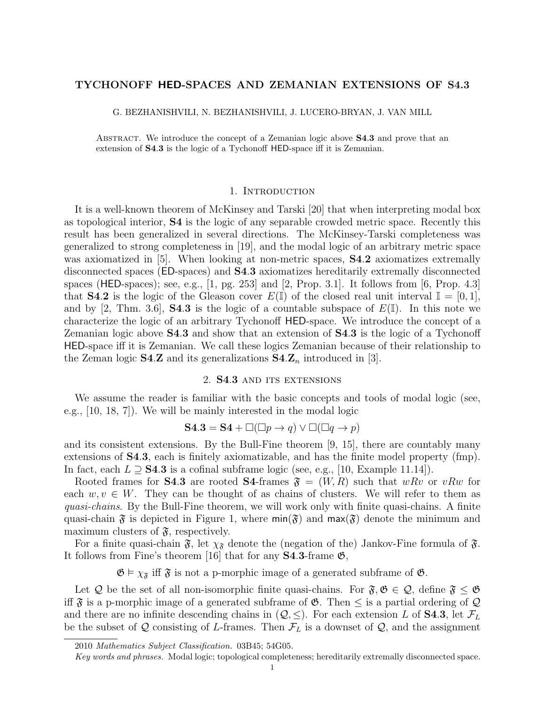# TYCHONOFF HED-SPACES AND ZEMANIAN EXTENSIONS OF S4.3

G. BEZHANISHVILI, N. BEZHANISHVILI, J. LUCERO-BRYAN, J. VAN MILL

ABSTRACT. We introduce the concept of a Zemanian logic above **S4.3** and prove that an extension of S4.3 is the logic of a Tychonoff HED-space iff it is Zemanian.

## 1. INTRODUCTION

It is a well-known theorem of McKinsey and Tarski [20] that when interpreting modal box as topological interior, S4 is the logic of any separable crowded metric space. Recently this result has been generalized in several directions. The McKinsey-Tarski completeness was generalized to strong completeness in [19], and the modal logic of an arbitrary metric space was axiomatized in [5]. When looking at non-metric spaces, **S4.2** axiomatizes extremally disconnected spaces (ED-spaces) and S4.3 axiomatizes hereditarily extremally disconnected spaces (HED-spaces); see, e.g.,  $[1, \text{pg. } 253]$  and  $[2, \text{Prop. } 3.1]$ . It follows from  $[6, \text{Prop. } 4.3]$ that **S4.2** is the logic of the Gleason cover  $E(\mathbb{I})$  of the closed real unit interval  $\mathbb{I} = [0,1],$ and by [2, Thm. 3.6], **S4.3** is the logic of a countable subspace of  $E(\mathbb{I})$ . In this note we characterize the logic of an arbitrary Tychonoff HED-space. We introduce the concept of a Zemanian logic above S4.3 and show that an extension of S4.3 is the logic of a Tychonoff HED-space iff it is Zemanian. We call these logics Zemanian because of their relationship to the Zeman logic **S4.Z** and its generalizations  $\mathbf{S4} \mathbf{Z}_n$  introduced in [3].

#### 2. S4.3 and its extensions

We assume the reader is familiar with the basic concepts and tools of modal logic (see, e.g., [10, 18, 7]). We will be mainly interested in the modal logic

$$
\mathbf{S4.3} = \mathbf{S4} + \square(\square p \to q) \lor \square(\square q \to p)
$$

and its consistent extensions. By the Bull-Fine theorem [9, 15], there are countably many extensions of S4.3, each is finitely axiomatizable, and has the finite model property (fmp). In fact, each  $L \supseteq$  **S4.3** is a cofinal subframe logic (see, e.g., [10, Example 11.14]).

Rooted frames for **S4.3** are rooted **S4**-frames  $\mathfrak{F} = (W, R)$  such that wRv or vRw for each  $w, v \in W$ . They can be thought of as chains of clusters. We will refer to them as quasi-chains. By the Bull-Fine theorem, we will work only with finite quasi-chains. A finite quasi-chain  $\mathfrak F$  is depicted in Figure 1, where  $\min(\mathfrak F)$  and  $\max(\mathfrak F)$  denote the minimum and maximum clusters of  $\mathfrak{F}$ , respectively.

For a finite quasi-chain  $\mathfrak{F}$ , let  $\chi_{\mathfrak{F}}$  denote the (negation of the) Jankov-Fine formula of  $\mathfrak{F}$ . It follows from Fine's theorem [16] that for any  $S4.3$ -frame  $\mathfrak{G}$ ,

 $\mathfrak{G} \models \chi_{\mathfrak{F}}$  iff  $\mathfrak{F}$  is not a p-morphic image of a generated subframe of  $\mathfrak{G}$ .

Let Q be the set of all non-isomorphic finite quasi-chains. For  $\mathfrak{F}, \mathfrak{G} \in \mathcal{Q}$ , define  $\mathfrak{F} \leq \mathfrak{G}$ iff  $\mathfrak F$  is a p-morphic image of a generated subframe of  $\mathfrak G$ . Then  $\leq$  is a partial ordering of  $\mathcal Q$ and there are no infinite descending chains in  $(Q, \leq)$ . For each extension L of **S4.3**, let  $\mathcal{F}_L$ be the subset of Q consisting of L-frames. Then  $\mathcal{F}_L$  is a downset of Q, and the assignment

<sup>2010</sup> Mathematics Subject Classification. 03B45; 54G05.

Key words and phrases. Modal logic; topological completeness; hereditarily extremally disconnected space.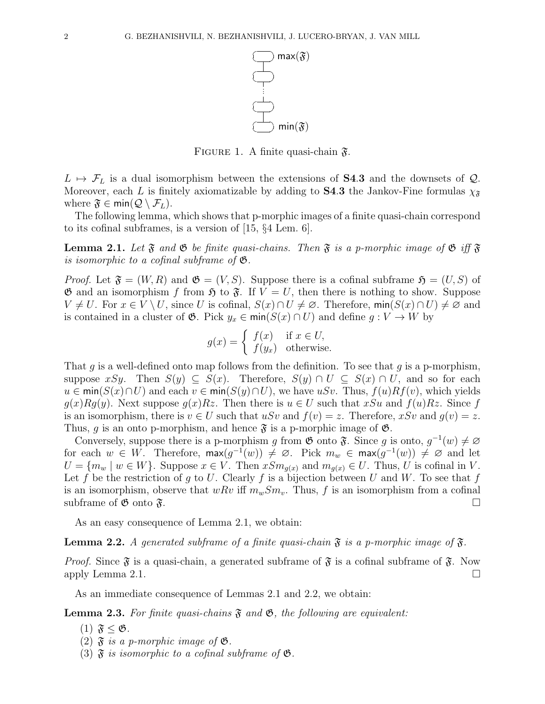

FIGURE 1. A finite quasi-chain  $\mathfrak{F}$ .

 $L \mapsto \mathcal{F}_L$  is a dual isomorphism between the extensions of **S4.3** and the downsets of  $\mathcal{Q}$ . Moreover, each L is finitely axiomatizable by adding to **S4.3** the Jankov-Fine formulas  $\chi_{\tilde{s}}$ where  $\mathfrak{F} \in \text{min}(\mathcal{Q} \setminus \mathcal{F}_L)$ .

The following lemma, which shows that p-morphic images of a finite quasi-chain correspond to its cofinal subframes, is a version of [15, §4 Lem. 6].

**Lemma 2.1.** Let  $\mathfrak{F}$  and  $\mathfrak{G}$  be finite quasi-chains. Then  $\mathfrak{F}$  is a p-morphic image of  $\mathfrak{G}$  iff  $\mathfrak{F}$ is isomorphic to a cofinal subframe of  $\mathfrak{G}$ .

*Proof.* Let  $\mathfrak{F} = (W, R)$  and  $\mathfrak{G} = (V, S)$ . Suppose there is a cofinal subframe  $\mathfrak{H} = (U, S)$  of  $\mathfrak{G}$  and an isomorphism f from  $\mathfrak{H}$  to  $\mathfrak{F}$ . If  $V = U$ , then there is nothing to show. Suppose  $V \neq U$ . For  $x \in V \setminus U$ , since U is cofinal,  $S(x) \cap U \neq \emptyset$ . Therefore, min $(S(x) \cap U) \neq \emptyset$  and is contained in a cluster of  $\mathfrak{G}$ . Pick  $y_x \in \min(S(x) \cap U)$  and define  $g : V \to W$  by

$$
g(x) = \begin{cases} f(x) & \text{if } x \in U, \\ f(y_x) & \text{otherwise.} \end{cases}
$$

That g is a well-defined onto map follows from the definition. To see that g is a p-morphism, suppose xSy. Then  $S(y) \subseteq S(x)$ . Therefore,  $S(y) \cap U \subseteq S(x) \cap U$ , and so for each  $u \in min(S(x) \cap U)$  and each  $v \in min(S(y) \cap U)$ , we have uSv. Thus,  $f(u)Rf(v)$ , which yields  $g(x)Rg(y)$ . Next suppose  $g(x)Rx$ . Then there is  $u \in U$  such that xSu and  $f(u)Rz$ . Since f is an isomorphism, there is  $v \in U$  such that uSv and  $f(v) = z$ . Therefore, xSv and  $g(v) = z$ . Thus, q is an onto p-morphism, and hence  $\mathfrak{F}$  is a p-morphic image of  $\mathfrak{G}$ .

Conversely, suppose there is a p-morphism g from  $\mathfrak{G}$  onto  $\mathfrak{F}$ . Since g is onto,  $g^{-1}(w) \neq \emptyset$ for each  $w \in W$ . Therefore,  $\max(g^{-1}(w)) \neq \emptyset$ . Pick  $m_w \in \max(g^{-1}(w)) \neq \emptyset$  and let  $U = \{m_w \mid w \in W\}$ . Suppose  $x \in V$ . Then  $xSm_{g(x)}$  and  $m_{g(x)} \in U$ . Thus, U is cofinal in V. Let f be the restriction of g to U. Clearly f is a bijection between U and W. To see that f is an isomorphism, observe that wRv iff  $m_wSm_v$ . Thus, f is an isomorphism from a cofinal subframe of  $\mathfrak{G}$  onto  $\mathfrak{F}$ .

As an easy consequence of Lemma 2.1, we obtain:

**Lemma 2.2.** A generated subframe of a finite quasi-chain  $\mathfrak{F}$  is a p-morphic image of  $\mathfrak{F}$ .

*Proof.* Since  $\mathfrak{F}$  is a quasi-chain, a generated subframe of  $\mathfrak{F}$  is a cofinal subframe of  $\mathfrak{F}$ . Now apply Lemma 2.1.  $\Box$ 

As an immediate consequence of Lemmas 2.1 and 2.2, we obtain:

**Lemma 2.3.** For finite quasi-chains  $\mathfrak{F}$  and  $\mathfrak{G}$ , the following are equivalent:

- (1)  $\mathfrak{F} \leq \mathfrak{G}$ .
- (2)  $\mathfrak{F}$  is a p-morphic image of  $\mathfrak{G}$ .
- (3)  $\mathfrak F$  is isomorphic to a cofinal subframe of  $\mathfrak G$ .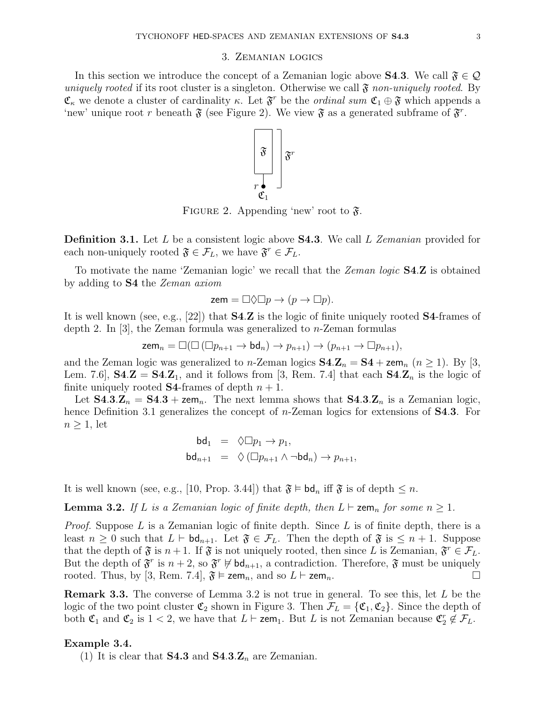#### 3. Zemanian logics

In this section we introduce the concept of a Zemanian logic above **S4.3**. We call  $\mathfrak{F} \in \mathcal{Q}$ uniquely rooted if its root cluster is a singleton. Otherwise we call  $\mathfrak{F}$  non-uniquely rooted. By  $\mathfrak{C}_{\kappa}$  we denote a cluster of cardinality  $\kappa$ . Let  $\mathfrak{F}^r$  be the *ordinal sum*  $\mathfrak{C}_1 \oplus \mathfrak{F}$  which appends a 'new' unique root r beneath  $\mathfrak F$  (see Figure 2). We view  $\mathfrak F$  as a generated subframe of  $\mathfrak F$ <sup>r</sup>.



FIGURE 2. Appending 'new' root to  $\mathfrak{F}$ .

**Definition 3.1.** Let L be a consistent logic above **S4.3**. We call L Zemanian provided for each non-uniquely rooted  $\mathfrak{F} \in \mathcal{F}_L$ , we have  $\mathfrak{F}^r \in \mathcal{F}_L$ .

To motivate the name 'Zemanian logic' we recall that the Zeman logic S4.Z is obtained by adding to S4 the Zeman axiom

$$
zem = \Box \Diamond \Box p \rightarrow (p \rightarrow \Box p).
$$

It is well known (see, e.g., [22]) that S4.Z is the logic of finite uniquely rooted S4-frames of depth 2. In [3], the Zeman formula was generalized to  $n$ -Zeman formulas

$$
\operatorname{zem}_n=\Box(\Box\left(\Box p_{n+1}\rightarrow \operatorname{bd}_n\right)\rightarrow p_{n+1})\rightarrow (p_{n+1}\rightarrow \Box p_{n+1}),
$$

and the Zeman logic was generalized to *n*-Zeman logics  $S4.Z_n = S4 + zem_n$  ( $n \ge 1$ ). By [3, Lem. 7.6,  $\mathbf{S4} \cdot \mathbf{Z} = \mathbf{S4} \cdot \mathbf{Z}_1$ , and it follows from [3, Rem. 7.4] that each  $\mathbf{S4} \cdot \mathbf{Z}_n$  is the logic of finite uniquely rooted **S4**-frames of depth  $n + 1$ .

Let  $S4.3.Z_n = S4.3 + zem_n$ . The next lemma shows that  $S4.3.Z_n$  is a Zemanian logic, hence Definition 3.1 generalizes the concept of *n*-Zeman logics for extensions of **S4.3**. For  $n \geq 1$ , let

$$
\begin{array}{rcl} \mathsf{bd}_1 & = & \Diamond \Box p_1 \to p_1, \\ \mathsf{bd}_{n+1} & = & \Diamond \left( \Box p_{n+1} \land \neg \mathsf{bd}_n \right) \to p_{n+1}, \end{array}
$$

It is well known (see, e.g., [10, Prop. 3.44]) that  $\mathfrak{F} \models \mathsf{bd}_n$  iff  $\mathfrak{F}$  is of depth  $\leq n$ .

**Lemma 3.2.** If L is a Zemanian logic of finite depth, then  $L \vdash$  zem<sub>n</sub> for some  $n \geq 1$ .

*Proof.* Suppose L is a Zemanian logic of finite depth. Since L is of finite depth, there is a least  $n \geq 0$  such that  $L \vdash \mathsf{bd}_{n+1}$ . Let  $\mathfrak{F} \in \mathcal{F}_L$ . Then the depth of  $\mathfrak{F}$  is  $\leq n+1$ . Suppose that the depth of  $\mathfrak{F}$  is  $n+1$ . If  $\mathfrak{F}$  is not uniquely rooted, then since L is Zemanian,  $\mathfrak{F}^r \in \mathcal{F}_L$ . But the depth of  $\mathfrak{F}^r$  is  $n+2$ , so  $\mathfrak{F}^r \not\models \mathsf{bd}_{n+1}$ , a contradiction. Therefore,  $\mathfrak{F}$  must be uniquely rooted. Thus, by [3, Rem. 7.4],  $\mathfrak{F} \models \mathsf{zem}_n$ , and so  $L \vdash \mathsf{zem}_n$ .

Remark 3.3. The converse of Lemma 3.2 is not true in general. To see this, let L be the logic of the two point cluster  $\mathfrak{C}_2$  shown in Figure 3. Then  $\mathcal{F}_L = {\mathfrak{C}_1, \mathfrak{C}_2}$ . Since the depth of both  $\mathfrak{C}_1$  and  $\mathfrak{C}_2$  is  $1 < 2$ , we have that  $L \vdash \mathsf{zem}_1$ . But L is not Zemanian because  $\mathfrak{C}_2^r \notin \mathcal{F}_L$ .

### Example 3.4.

(1) It is clear that **S4.3** and  $\mathbf{S4.3} \mathbf{Z}_n$  are Zemanian.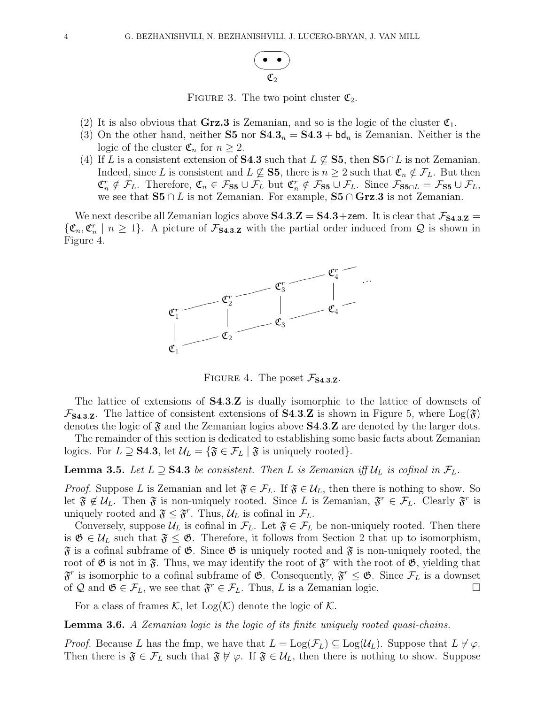

FIGURE 3. The two point cluster  $\mathfrak{C}_2$ .

- (2) It is also obvious that Grz.3 is Zemanian, and so is the logic of the cluster  $\mathfrak{C}_1$ .
- (3) On the other hand, neither **S5** nor  $S4.3_n = S4.3 + bd_n$  is Zemanian. Neither is the logic of the cluster  $\mathfrak{C}_n$  for  $n \geq 2$ .
- (4) If L is a consistent extension of S4.3 such that  $L \not\subseteq$  S5, then S5∩L is not Zemanian. Indeed, since L is consistent and  $L \not\subseteq$  **S5**, there is  $n \geq 2$  such that  $\mathfrak{C}_n \notin \mathcal{F}_L$ . But then  $\mathfrak{C}_n^r \notin \mathcal{F}_L$ . Therefore,  $\mathfrak{C}_n \in \mathcal{F}_{S5} \cup \mathcal{F}_L$  but  $\mathfrak{C}_n^r \notin \mathcal{F}_{S5} \cup \mathcal{F}_L$ . Since  $\mathcal{F}_{S5 \cap L} = \mathcal{F}_{S5} \cup \mathcal{F}_L$ , we see that  $S5 \cap L$  is not Zemanian. For example,  $S5 \cap Grz.3$  is not Zemanian.

We next describe all Zemanian logics above  $S4.3.Z = S4.3+$ zem. It is clear that  $\mathcal{F}_{S4.3.Z} =$  $\{\mathfrak{C}_n,\mathfrak{C}_n^r \mid n \geq 1\}$ . A picture of  $\mathcal{F}_{\mathbf{S4.3.Z}}$  with the partial order induced from Q is shown in Figure 4.



FIGURE 4. The poset  $\mathcal{F}_{S4.3,Z}$ .

The lattice of extensions of S4.3.Z is dually isomorphic to the lattice of downsets of  $\mathcal{F}_{\mathbf{S4.3}Z}$ . The lattice of consistent extensions of **S4.3.Z** is shown in Figure 5, where  $Log(\mathfrak{F})$ denotes the logic of  $\mathfrak{F}$  and the Zemanian logics above **S4.3.Z** are denoted by the larger dots.

The remainder of this section is dedicated to establishing some basic facts about Zemanian logics. For  $L \supseteq$  **S4.3**, let  $\mathcal{U}_L = \{ \mathfrak{F} \in \mathcal{F}_L \mid \mathfrak{F} \text{ is uniquely rooted} \}.$ 

**Lemma 3.5.** Let  $L \supseteq$  **S4.3** be consistent. Then L is Zemanian iff  $\mathcal{U}_L$  is cofinal in  $\mathcal{F}_L$ .

*Proof.* Suppose L is Zemanian and let  $\mathfrak{F} \in \mathcal{F}_L$ . If  $\mathfrak{F} \in \mathcal{U}_L$ , then there is nothing to show. So let  $\mathfrak{F} \notin \mathcal{U}_L$ . Then  $\mathfrak{F}$  is non-uniquely rooted. Since L is Zemanian,  $\mathfrak{F}^r \in \mathcal{F}_L$ . Clearly  $\mathfrak{F}^r$  is uniquely rooted and  $\mathfrak{F} \leq \mathfrak{F}^r$ . Thus,  $\mathcal{U}_L$  is cofinal in  $\mathcal{F}_L$ .

Conversely, suppose  $\mathcal{U}_L$  is cofinal in  $\mathcal{F}_L$ . Let  $\mathfrak{F} \in \mathcal{F}_L$  be non-uniquely rooted. Then there is  $\mathfrak{G} \in \mathcal{U}_L$  such that  $\mathfrak{F} \leq \mathfrak{G}$ . Therefore, it follows from Section 2 that up to isomorphism,  $\mathfrak F$  is a cofinal subframe of  $\mathfrak G$ . Since  $\mathfrak G$  is uniquely rooted and  $\mathfrak F$  is non-uniquely rooted, the root of  $\mathfrak G$  is not in  $\mathfrak F$ . Thus, we may identify the root of  $\mathfrak F$ <sup>r</sup> with the root of  $\mathfrak G$ , yielding that  $\mathfrak{F}^r$  is isomorphic to a cofinal subframe of  $\mathfrak{G}$ . Consequently,  $\mathfrak{F}^r \leq \mathfrak{G}$ . Since  $\mathcal{F}_L$  is a downset of Q and  $\mathfrak{G} \in \mathcal{F}_L$ , we see that  $\mathfrak{F}^r \in \mathcal{F}_L$ . Thus, L is a Zemanian logic.

For a class of frames K, let  $Log(K)$  denote the logic of K.

Lemma 3.6. A Zemanian logic is the logic of its finite uniquely rooted quasi-chains.

*Proof.* Because L has the fmp, we have that  $L = \text{Log}(\mathcal{F}_L) \subseteq \text{Log}(\mathcal{U}_L)$ . Suppose that  $L \nvDash \varphi$ . Then there is  $\mathfrak{F} \in \mathcal{F}_L$  such that  $\mathfrak{F} \not\vdash \varphi$ . If  $\mathfrak{F} \in \mathcal{U}_L$ , then there is nothing to show. Suppose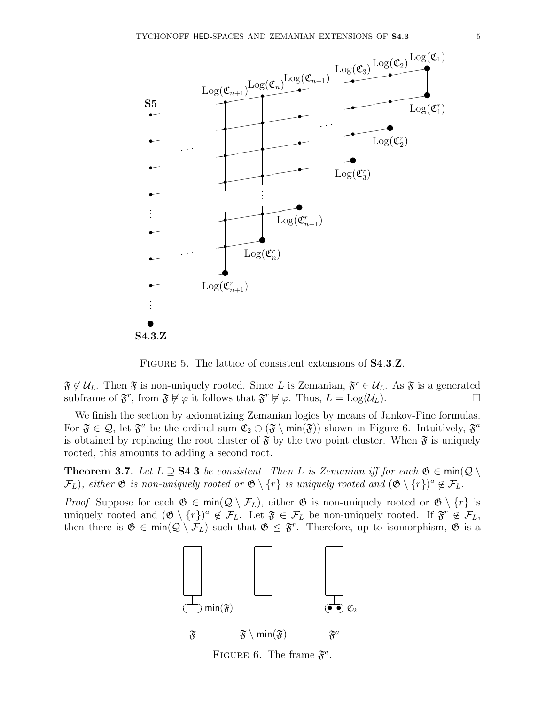

FIGURE 5. The lattice of consistent extensions of **S4.3.Z**.

 $\mathfrak{F} \notin \mathcal{U}_L$ . Then  $\mathfrak{F}$  is non-uniquely rooted. Since L is Zemanian,  $\mathfrak{F}^r \in \mathcal{U}_L$ . As  $\mathfrak{F}$  is a generated subframe of  $\mathfrak{F}^r$ , from  $\mathfrak{F} \not\models \varphi$  it follows that  $\mathfrak{F}^r \not\models \varphi$ . Thus,  $L = \text{Log}(\mathcal{U}_L)$ .

We finish the section by axiomatizing Zemanian logics by means of Jankov-Fine formulas. For  $\mathfrak{F} \in \mathcal{Q}$ , let  $\mathfrak{F}^a$  be the ordinal sum  $\mathfrak{C}_2 \oplus (\mathfrak{F} \setminus \min(\mathfrak{F}))$  shown in Figure 6. Intuitively,  $\mathfrak{F}^a$ is obtained by replacing the root cluster of  $\mathfrak F$  by the two point cluster. When  $\mathfrak F$  is uniquely rooted, this amounts to adding a second root.

**Theorem 3.7.** Let  $L \supseteq S4.3$  be consistent. Then L is Zemanian iff for each  $\mathfrak{G} \in \text{min}(\mathcal{Q} \setminus \mathcal{Q})$  $\mathcal{F}_L$ ), either  $\mathfrak G$  is non-uniquely rooted or  $\mathfrak G \setminus \{r\}$  is uniquely rooted and  $(\mathfrak G \setminus \{r\})^a \notin \mathcal{F}_L$ .

*Proof.* Suppose for each  $\mathfrak{G} \in \text{min}(\mathcal{Q} \setminus \mathcal{F}_L)$ , either  $\mathfrak{G}$  is non-uniquely rooted or  $\mathfrak{G} \setminus \{r\}$  is uniquely rooted and  $(\mathfrak{G} \setminus \{r\})^a \notin \mathcal{F}_L$ . Let  $\mathfrak{F} \in \mathcal{F}_L$  be non-uniquely rooted. If  $\mathfrak{F}^r \notin \mathcal{F}_L$ , then there is  $\mathfrak{G} \in \text{min}(\mathcal{Q} \setminus \mathcal{F}_L)$  such that  $\mathfrak{G} \leq \mathfrak{F}^r$ . Therefore, up to isomorphism,  $\mathfrak{G}$  is a



FIGURE 6. The frame  $\mathfrak{F}^a$ .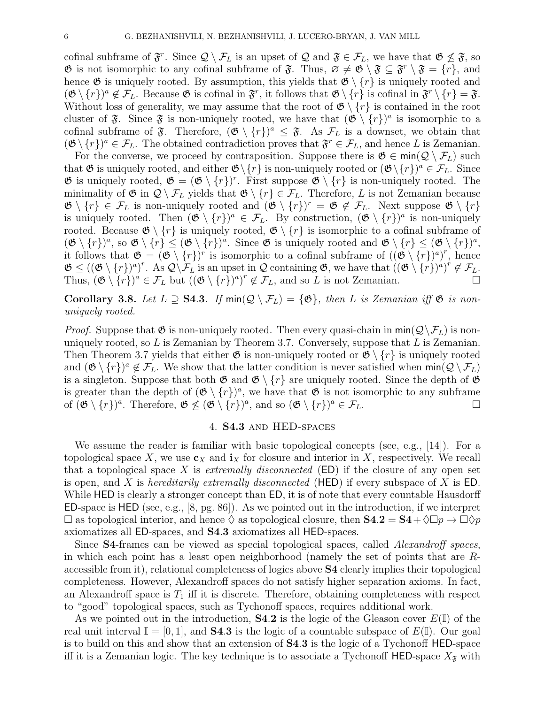cofinal subframe of  $\mathfrak{F}^r$ . Since  $\mathcal{Q} \setminus \mathcal{F}_L$  is an upset of  $\mathcal{Q}$  and  $\mathfrak{F} \in \mathcal{F}_L$ , we have that  $\mathfrak{G} \not\leq \mathfrak{F}$ , so  $\mathfrak{G}$  is not isomorphic to any cofinal subframe of  $\mathfrak{F}$ . Thus,  $\varnothing \neq \mathfrak{G} \setminus \mathfrak{F} \subseteq \mathfrak{F}^r \setminus \mathfrak{F} = \{r\}$ , and hence  $\mathfrak G$  is uniquely rooted. By assumption, this yields that  $\mathfrak G \setminus \{r\}$  is uniquely rooted and  $(\mathfrak{G} \setminus \{r\})^a \notin \mathcal{F}_L$ . Because  $\mathfrak{G}$  is cofinal in  $\mathfrak{F}^r$ , it follows that  $\mathfrak{G} \setminus \{r\}$  is cofinal in  $\mathfrak{F}^r \setminus \{r\} = \mathfrak{F}$ . Without loss of generality, we may assume that the root of  $\mathfrak{G} \setminus \{r\}$  is contained in the root cluster of  $\mathfrak{F}$ . Since  $\mathfrak{F}$  is non-uniquely rooted, we have that  $(\mathfrak{G} \setminus \{r\})^a$  is isomorphic to a cofinal subframe of  $\mathfrak{F}$ . Therefore,  $(\mathfrak{G} \setminus \{r\})^a \leq \mathfrak{F}$ . As  $\mathcal{F}_L$  is a downset, we obtain that  $(\mathfrak{G}\setminus \{r\})^a \in \mathcal{F}_L$ . The obtained contradiction proves that  $\mathfrak{F}^r \in \mathcal{F}_L$ , and hence L is Zemanian.

For the converse, we proceed by contraposition. Suppose there is  $\mathfrak{G} \in \text{min}(\mathcal{Q} \setminus \mathcal{F}_L)$  such that  $\mathfrak G$  is uniquely rooted, and either  $\mathfrak G\backslash\{r\}$  is non-uniquely rooted or  $(\mathfrak G\backslash\{r\})^a\in\mathcal F_L$ . Since  $\mathfrak{G}$  is uniquely rooted,  $\mathfrak{G} = (\mathfrak{G} \setminus \{r\})^r$ . First suppose  $\mathfrak{G} \setminus \{r\}$  is non-uniquely rooted. The minimality of  $\mathfrak{G}$  in  $\mathcal{Q} \setminus \mathcal{F}_L$  yields that  $\mathfrak{G} \setminus \{r\} \in \mathcal{F}_L$ . Therefore, L is not Zemanian because  $\mathfrak{G} \setminus \{r\} \in \mathcal{F}_L$  is non-uniquely rooted and  $(\mathfrak{G} \setminus \{r\})^r = \mathfrak{G} \notin \mathcal{F}_L$ . Next suppose  $\mathfrak{G} \setminus \{r\}$ is uniquely rooted. Then  $(\mathfrak{G} \setminus \{r\})^a \in \mathcal{F}_L$ . By construction,  $(\mathfrak{G} \setminus \{r\})^a$  is non-uniquely rooted. Because  $\mathfrak{G} \setminus \{r\}$  is uniquely rooted,  $\mathfrak{G} \setminus \{r\}$  is isomorphic to a cofinal subframe of  $(\mathfrak{G} \setminus \{r\})^a$ , so  $\mathfrak{G} \setminus \{r\} \leq (\mathfrak{G} \setminus \{r\})^a$ . Since  $\mathfrak{G}$  is uniquely rooted and  $\mathfrak{G} \setminus \{r\} \leq (\mathfrak{G} \setminus \{r\})^a$ , it follows that  $\mathfrak{G} = (\mathfrak{G} \setminus \{r\})^r$  is isomorphic to a cofinal subframe of  $((\mathfrak{G} \setminus \{r\})^a)^r$ , hence  $\mathfrak{G} \leq ((\mathfrak{G} \setminus \{r\})^a)^r$ . As  $\mathcal{Q} \setminus \mathcal{F}_L$  is an upset in  $\mathcal Q$  containing  $\mathfrak{G}$ , we have that  $((\mathfrak{G} \setminus \{r\})^a)^r \notin \mathcal{F}_L$ . Thus,  $(\mathfrak{G} \setminus \{r\})^d \in \mathcal{F}_L$  but  $((\mathfrak{G} \setminus \{r\})^d)^r \notin \mathcal{F}_L$ , and so L is not Zemanian.

Corollary 3.8. Let  $L \supseteq S4.3$ . If  $\min(Q \setminus \mathcal{F}_L) = \{ \mathfrak{G} \}$ , then L is Zemanian iff  $\mathfrak{G}$  is nonuniquely rooted.

*Proof.* Suppose that  $\mathfrak{G}$  is non-uniquely rooted. Then every quasi-chain in min( $\mathcal{Q}\setminus\mathcal{F}_L$ ) is nonuniquely rooted, so  $L$  is Zemanian by Theorem 3.7. Conversely, suppose that  $L$  is Zemanian. Then Theorem 3.7 yields that either  $\mathfrak{G}$  is non-uniquely rooted or  $\mathfrak{G} \setminus \{r\}$  is uniquely rooted and  $(\mathfrak{G} \setminus \{r\})^a \notin \mathcal{F}_L$ . We show that the latter condition is never satisfied when  $\min(Q \setminus \mathcal{F}_L)$ is a singleton. Suppose that both  $\mathfrak{G}$  and  $\mathfrak{G} \setminus \{r\}$  are uniquely rooted. Since the depth of  $\mathfrak{G}$ is greater than the depth of  $(\mathfrak{G} \setminus \{r\})^a$ , we have that  $\mathfrak{G}$  is not isomorphic to any subframe of  $(\mathfrak{G} \setminus \{r\})^a$ . Therefore,  $\mathfrak{G} \not\leq (\mathfrak{G} \setminus \{r\})^a$ , and so  $(\mathfrak{G} \setminus \{r\})^a \in \mathcal{F}_L$ .

## 4. S4.3 and HED-spaces

We assume the reader is familiar with basic topological concepts (see, e.g., [14]). For a topological space X, we use  $\mathbf{c}_X$  and  $\mathbf{i}_X$  for closure and interior in X, respectively. We recall that a topological space X is *extremally disconnected* ( $ED$ ) if the closure of any open set is open, and X is hereditarily extremally disconnected (HED) if every subspace of X is  $ED$ . While HED is clearly a stronger concept than ED, it is of note that every countable Hausdorff ED-space is HED (see, e.g., [8, pg. 86]). As we pointed out in the introduction, if we interpret  $\square$  as topological interior, and hence  $\lozenge$  as topological closure, then  $S4.2 = S4 + \lozenge \square \lozenge \square \lozenge p$ axiomatizes all ED-spaces, and S4.3 axiomatizes all HED-spaces.

Since S4-frames can be viewed as special topological spaces, called Alexandroff spaces, in which each point has a least open neighborhood (namely the set of points that are Raccessible from it), relational completeness of logics above S4 clearly implies their topological completeness. However, Alexandroff spaces do not satisfy higher separation axioms. In fact, an Alexandroff space is  $T_1$  iff it is discrete. Therefore, obtaining completeness with respect to "good" topological spaces, such as Tychonoff spaces, requires additional work.

As we pointed out in the introduction,  $S4.2$  is the logic of the Gleason cover  $E(\mathbb{I})$  of the real unit interval  $\mathbb{I} = [0, 1]$ , and **S4.3** is the logic of a countable subspace of  $E(\mathbb{I})$ . Our goal is to build on this and show that an extension of S4.3 is the logic of a Tychonoff HED-space iff it is a Zemanian logic. The key technique is to associate a Tychonoff HED-space  $X_{\mathfrak{F}}$  with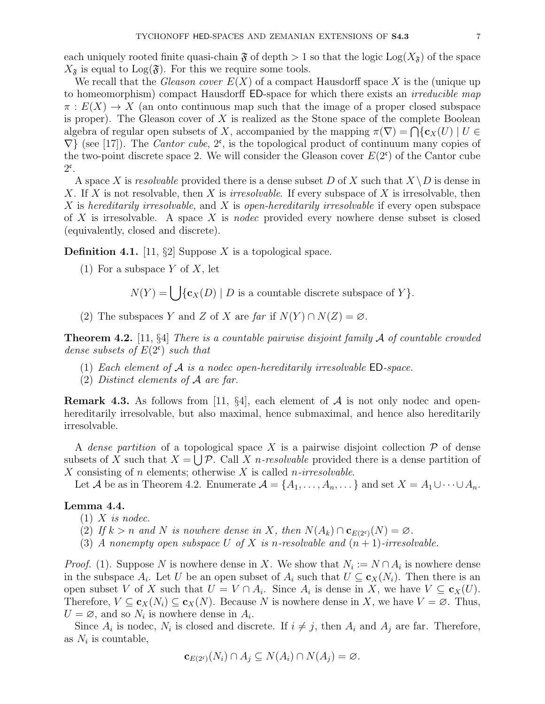each uniquely rooted finite quasi-chain  $\mathfrak F$  of depth  $> 1$  so that the logic Log( $X_{\mathfrak F}$ ) of the space  $X_{\mathfrak{F}}$  is equal to  $\text{Log}(\mathfrak{F})$ . For this we require some tools.

We recall that the *Gleason cover*  $E(X)$  of a compact Hausdorff space X is the (unique up to homeomorphism) compact Hausdorff ED-space for which there exists an *irreducible map*  $\pi: E(X) \to X$  (an onto continuous map such that the image of a proper closed subspace is proper). The Gleason cover of  $X$  is realized as the Stone space of the complete Boolean algebra of regular open subsets of X, accompanied by the mapping  $\pi(\nabla) = \bigcap \{c_X(U) | U \in$  $\nabla$ } (see [17]). The *Cantor cube*,  $2^c$ , is the topological product of continuum many copies of the two-point discrete space 2. We will consider the Gleason cover  $E(2^c)$  of the Cantor cube  $2^{\mathfrak{c}}$ .

A space X is resolvable provided there is a dense subset D of X such that  $X \backslash D$  is dense in X. If X is not resolvable, then X is *irresolvable*. If every subspace of X is irresolvable, then X is hereditarily irresolvable, and X is open-hereditarily irresolvable if every open subspace of  $X$  is irresolvable. A space  $X$  is nodec provided every nowhere dense subset is closed (equivalently, closed and discrete).

**Definition 4.1.** [11, §2] Suppose X is a topological space.

(1) For a subspace Y of X, let

 $N(Y) = \bigcup \{c_X(D) | D$  is a countable discrete subspace of Y.

(2) The subspaces Y and Z of X are far if  $N(Y) \cap N(Z) = \emptyset$ .

**Theorem 4.2.** [11, §4] There is a countable pairwise disjoint family  $\mathcal A$  of countable crowded dense subsets of  $E(2^{\mathfrak{c}})$  such that

- (1) Each element of  $A$  is a nodec open-hereditarily irresolvable  $ED\text{-}space$ .
- (2) Distinct elements of A are far.

**Remark 4.3.** As follows from [11, §4], each element of  $A$  is not only nodec and openhereditarily irresolvable, but also maximal, hence submaximal, and hence also hereditarily irresolvable.

A dense partition of a topological space X is a pairwise disjoint collection  $\mathcal P$  of dense subsets of X such that  $X = \bigcup \mathcal{P}$ . Call X *n*-resolvable provided there is a dense partition of X consisting of n elements; otherwise X is called *n*-irresolvable.

Let A be as in Theorem 4.2. Enumerate  $\mathcal{A} = \{A_1, \ldots, A_n, \ldots\}$  and set  $X = A_1 \cup \cdots \cup A_n$ .

#### Lemma 4.4.

- $(1)$  X is nodec.
- (2) If  $k > n$  and N is nowhere dense in X, then  $N(A_k) \cap \mathbf{c}_{E(2^c)}(N) = \emptyset$ .
- (3) A nonempty open subspace U of X is n-resolvable and  $(n + 1)$ -irresolvable.

*Proof.* (1). Suppose N is nowhere dense in X. We show that  $N_i := N \cap A_i$  is nowhere dense in the subspace  $A_i$ . Let U be an open subset of  $A_i$  such that  $U \subseteq \mathbf{c}_X(N_i)$ . Then there is an open subset V of X such that  $U = V \cap A_i$ . Since  $A_i$  is dense in X, we have  $V \subseteq \mathbf{c}_X(U)$ . Therefore,  $V \subseteq \mathbf{c}_X(N_i) \subseteq \mathbf{c}_X(N)$ . Because N is nowhere dense in X, we have  $V = \emptyset$ . Thus,  $U = \emptyset$ , and so  $N_i$  is nowhere dense in  $A_i$ .

Since  $A_i$  is nodec,  $N_i$  is closed and discrete. If  $i \neq j$ , then  $A_i$  and  $A_j$  are far. Therefore, as  $N_i$  is countable,

$$
\mathbf{c}_{E(2^c)}(N_i) \cap A_j \subseteq N(A_i) \cap N(A_j) = \varnothing.
$$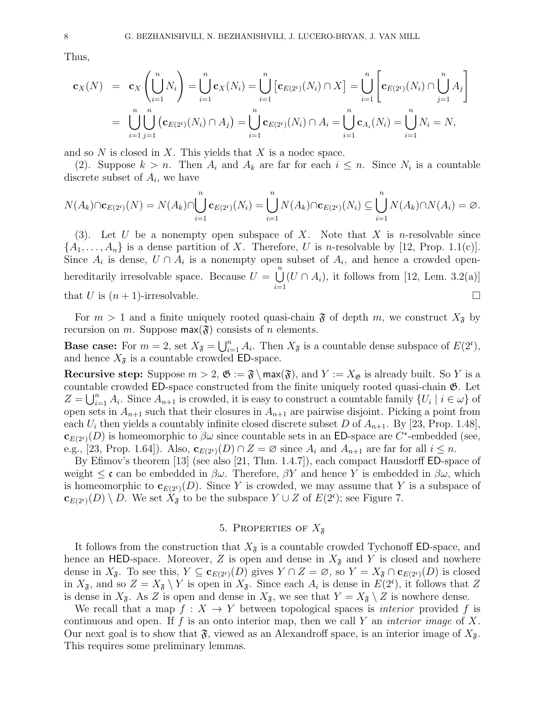Thus,

$$
\mathbf{c}_X(N) = \mathbf{c}_X \left( \bigcup_{i=1}^n N_i \right) = \bigcup_{i=1}^n \mathbf{c}_X(N_i) = \bigcup_{i=1}^n \left[ \mathbf{c}_{E(2^c)}(N_i) \cap X \right] = \bigcup_{i=1}^n \left[ \mathbf{c}_{E(2^c)}(N_i) \cap \bigcup_{j=1}^n A_j \right]
$$
  
= 
$$
\bigcup_{i=1}^n \bigcup_{j=1}^n (\mathbf{c}_{E(2^c)}(N_i) \cap A_j) = \bigcup_{i=1}^n \mathbf{c}_{E(2^c)}(N_i) \cap A_i = \bigcup_{i=1}^n \mathbf{c}_{A_i}(N_i) = \bigcup_{i=1}^n N_i = N,
$$

and so  $N$  is closed in  $X$ . This yields that  $X$  is a nodec space.

(2). Suppose  $k > n$ . Then  $A_i$  and  $A_k$  are far for each  $i \leq n$ . Since  $N_i$  is a countable discrete subset of  $A_i$ , we have

$$
N(A_k)\cap \mathbf{c}_{E(2^c)}(N)=N(A_k)\cap \bigcup_{i=1}^n \mathbf{c}_{E(2^c)}(N_i)=\bigcup_{i=1}^n N(A_k)\cap \mathbf{c}_{E(2^c)}(N_i)\subseteq \bigcup_{i=1}^n N(A_k)\cap N(A_i)=\varnothing.
$$

(3). Let U be a nonempty open subspace of X. Note that X is n-resolvable since  $\{A_1, \ldots, A_n\}$  is a dense partition of X. Therefore, U is n-resolvable by [12, Prop. 1.1(c)]. Since  $A_i$  is dense,  $U \cap A_i$  is a nonempty open subset of  $A_i$ , and hence a crowded openhereditarily irresolvable space. Because  $U = \bigcup_{n=1}^{\infty}$  $i=1$  $(U \cap A_i)$ , it follows from [12, Lem. 3.2(a)] that U is  $(n+1)$ -irresolvable.

For  $m > 1$  and a finite uniquely rooted quasi-chain  $\mathfrak F$  of depth m, we construct  $X_{\mathfrak F}$  by recursion on m. Suppose  $max(\mathfrak{F})$  consists of n elements.

**Base case:** For  $m = 2$ , set  $X_{\tilde{\sigma}} = \bigcup_{i=1}^{n} A_i$ . Then  $X_{\tilde{\sigma}}$  is a countable dense subspace of  $E(2^c)$ , and hence  $X_{\mathfrak{F}}$  is a countable crowded ED-space.

**Recursive step:** Suppose  $m > 2$ ,  $\mathfrak{G} := \mathfrak{F} \setminus \max(\mathfrak{F})$ , and  $Y := X_{\mathfrak{G}}$  is already built. So Y is a countable crowded  $ED$ -space constructed from the finite uniquely rooted quasi-chain  $\mathfrak{G}$ . Let  $Z = \bigcup_{i=1}^n A_i$ . Since  $A_{n+1}$  is crowded, it is easy to construct a countable family  $\{U_i \mid i \in \omega\}$  of open sets in  $A_{n+1}$  such that their closures in  $A_{n+1}$  are pairwise disjoint. Picking a point from each  $U_i$  then yields a countably infinite closed discrete subset D of  $A_{n+1}$ . By [23, Prop. 1.48],  $\mathbf{c}_{E(2^c)}(D)$  is homeomorphic to  $\beta\omega$  since countable sets in an ED-space are C<sup>\*</sup>-embedded (see, e.g., [23, Prop. 1.64]). Also,  $\mathbf{c}_{E(2^c)}(D) \cap Z = \emptyset$  since  $A_i$  and  $A_{n+1}$  are far for all  $i \leq n$ .

By Efimov's theorem [13] (see also [21, Thm. 1.4.7]), each compact Hausdorff ED-space of weight  $\leq \mathfrak{c}$  can be embedded in  $\beta\omega$ . Therefore,  $\beta Y$  and hence Y is embedded in  $\beta\omega$ , which is homeomorphic to  $\mathbf{c}_{E(2^c)}(D)$ . Since Y is crowded, we may assume that Y is a subspace of  $\mathbf{c}_{E(2^c)}(D) \setminus D$ . We set  $\hat{X}_{\mathfrak{F}}$  to be the subspace  $Y \cup Z$  of  $E(2^c)$ ; see Figure 7.

# 5. PROPERTIES OF  $X_{\tilde{s}}$

It follows from the construction that  $X_{\tilde{\mathbf{x}}}$  is a countable crowded Tychonoff ED-space, and hence an HED-space. Moreover, Z is open and dense in  $X_{\mathfrak{F}}$  and Y is closed and nowhere dense in  $X_{\mathfrak{F}}$ . To see this,  $Y \subseteq \mathbf{c}_{E(2^c)}(D)$  gives  $Y \cap Z = \emptyset$ , so  $Y = X_{\mathfrak{F}} \cap \mathbf{c}_{E(2^c)}(D)$  is closed in  $X_{\mathfrak{F}}$ , and so  $Z = X_{\mathfrak{F}} \setminus Y$  is open in  $X_{\mathfrak{F}}$ . Since each  $A_i$  is dense in  $E(2^c)$ , it follows that Z is dense in  $X_{\mathfrak{F}}$ . As Z is open and dense in  $X_{\mathfrak{F}}$ , we see that  $Y = X_{\mathfrak{F}} \setminus Z$  is nowhere dense.

We recall that a map  $f: X \to Y$  between topological spaces is *interior* provided f is continuous and open. If f is an onto interior map, then we call Y an *interior image* of X. Our next goal is to show that  $\mathfrak{F}$ , viewed as an Alexandroff space, is an interior image of  $X_{\mathfrak{F}}$ . This requires some preliminary lemmas.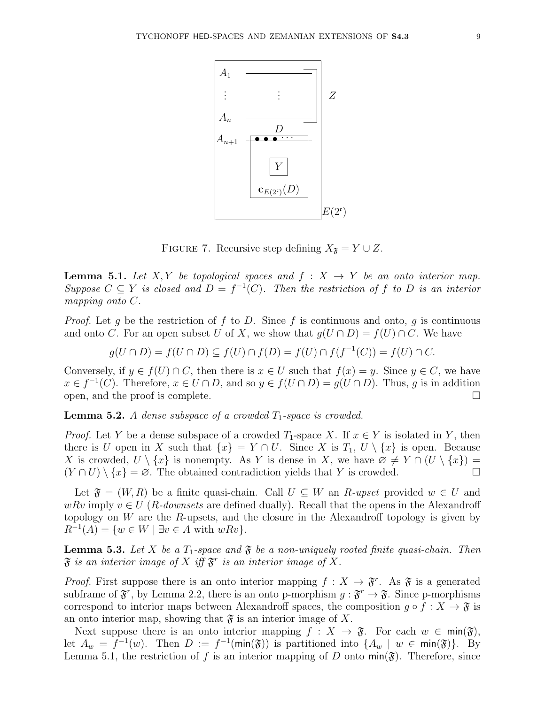

FIGURE 7. Recursive step defining  $X_{\mathfrak{F}} = Y \cup Z$ .

**Lemma 5.1.** Let X, Y be topological spaces and  $f : X \rightarrow Y$  be an onto interior map. Suppose  $C \subseteq Y$  is closed and  $D = f^{-1}(C)$ . Then the restriction of f to D is an interior mapping onto C.

*Proof.* Let g be the restriction of f to D. Since f is continuous and onto, g is continuous and onto C. For an open subset U of X, we show that  $g(U \cap D) = f(U) \cap C$ . We have

$$
g(U \cap D) = f(U \cap D) \subseteq f(U) \cap f(D) = f(U) \cap f(f^{-1}(C)) = f(U) \cap C.
$$

Conversely, if  $y \in f(U) \cap C$ , then there is  $x \in U$  such that  $f(x) = y$ . Since  $y \in C$ , we have  $x \in f^{-1}(C)$ . Therefore,  $x \in U \cap D$ , and so  $y \in f(U \cap D) = g(U \cap D)$ . Thus, g is in addition open, and the proof is complete.  $\Box$ 

**Lemma 5.2.** A dense subspace of a crowded  $T_1$ -space is crowded.

*Proof.* Let Y be a dense subspace of a crowded  $T_1$ -space X. If  $x \in Y$  is isolated in Y, then there is U open in X such that  $\{x\} = Y \cap U$ . Since X is  $T_1$ ,  $U \setminus \{x\}$  is open. Because X is crowded,  $U \setminus \{x\}$  is nonempty. As Y is dense in X, we have  $\emptyset \neq Y \cap (U \setminus \{x\})$  $(Y \cap U) \setminus \{x\} = \emptyset$ . The obtained contradiction yields that Y is crowded.

Let  $\mathfrak{F} = (W, R)$  be a finite quasi-chain. Call  $U \subseteq W$  an  $R$ -upset provided  $w \in U$  and wRv imply  $v \in U$  (R-downsets are defined dually). Recall that the opens in the Alexandroff topology on  $W$  are the R-upsets, and the closure in the Alexandroff topology is given by  $R^{-1}(A) = \{w \in W \mid \exists v \in A \text{ with } wRv\}.$ 

**Lemma 5.3.** Let X be a  $T_1$ -space and  $\mathfrak{F}$  be a non-uniquely rooted finite quasi-chain. Then  $\mathfrak F$  is an interior image of X iff  $\mathfrak F^r$  is an interior image of X.

*Proof.* First suppose there is an onto interior mapping  $f: X \to \mathfrak{F}^r$ . As  $\mathfrak{F}$  is a generated subframe of  $\mathfrak{F}^r$ , by Lemma 2.2, there is an onto p-morphism  $g: \mathfrak{F}^r \to \mathfrak{F}$ . Since p-morphisms correspond to interior maps between Alexandroff spaces, the composition  $q \circ f : X \to \mathfrak{F}$  is an onto interior map, showing that  $\mathfrak{F}$  is an interior image of X.

Next suppose there is an onto interior mapping  $f : X \to \mathfrak{F}$ . For each  $w \in \text{min}(\mathfrak{F})$ , let  $A_w = f^{-1}(w)$ . Then  $D := f^{-1}(\min(\mathfrak{F}))$  is partitioned into  $\{A_w \mid w \in \min(\mathfrak{F})\}$ . By Lemma 5.1, the restriction of f is an interior mapping of D onto  $\min(\mathfrak{F})$ . Therefore, since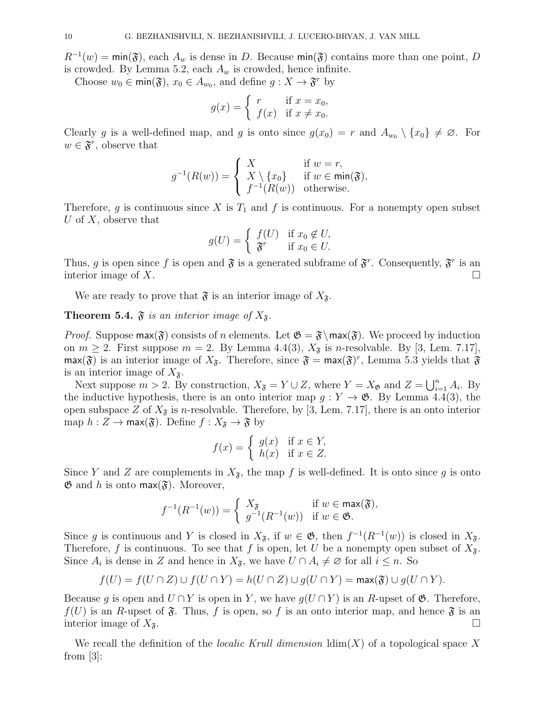$R^{-1}(w) = \min(\mathfrak{F})$ , each  $A_w$  is dense in D. Because  $\min(\mathfrak{F})$  contains more than one point, D is crowded. By Lemma 5.2, each  $A_w$  is crowded, hence infinite.

Choose  $w_0 \in \text{min}(\mathfrak{F})$ ,  $x_0 \in A_{w_0}$ , and define  $g: X \to \mathfrak{F}^r$  by

$$
g(x) = \begin{cases} r & \text{if } x = x_0, \\ f(x) & \text{if } x \neq x_0. \end{cases}
$$

Clearly g is a well-defined map, and g is onto since  $g(x_0) = r$  and  $A_{w_0} \setminus \{x_0\} \neq \emptyset$ . For  $w \in \mathfrak{F}^r$ , observe that

$$
g^{-1}(R(w)) = \begin{cases} X & \text{if } w = r, \\ X \setminus \{x_0\} & \text{if } w \in \min(\mathfrak{F}), \\ f^{-1}(R(w)) & \text{otherwise.} \end{cases}
$$

Therefore, g is continuous since X is  $T_1$  and f is continuous. For a nonempty open subset U of  $X$ , observe that

$$
g(U) = \begin{cases} f(U) & \text{if } x_0 \notin U, \\ \mathfrak{F}^r & \text{if } x_0 \in U. \end{cases}
$$

Thus, g is open since f is open and  $\mathfrak{F}$  is a generated subframe of  $\mathfrak{F}^r$ . Consequently,  $\mathfrak{F}^r$  is an interior image of X.

We are ready to prove that  $\mathfrak F$  is an interior image of  $X_{\mathfrak F}$ .

**Theorem 5.4.**  $\mathfrak{F}$  is an interior image of  $X_{\mathfrak{F}}$ .

*Proof.* Suppose  $max(\mathfrak{F})$  consists of n elements. Let  $\mathfrak{G} = \mathfrak{F}\setminus max(\mathfrak{F})$ . We proceed by induction on  $m \geq 2$ . First suppose  $m = 2$ . By Lemma 4.4(3),  $X_{\mathfrak{F}}$  is *n*-resolvable. By [3, Lem. 7.17],  $\max(\mathfrak{F})$  is an interior image of  $X_{\mathfrak{F}}$ . Therefore, since  $\mathfrak{F} = \max(\mathfrak{F})^r$ , Lemma 5.3 yields that  $\mathfrak{F}$ is an interior image of  $X_{\mathfrak{F}}$ .

Next suppose  $m > 2$ . By construction,  $X_{\mathfrak{F}} = Y \cup Z$ , where  $Y = X_{\mathfrak{G}}$  and  $Z = \bigcup_{i=1}^{n} A_i$ . By the inductive hypothesis, there is an onto interior map  $g: Y \to \mathfrak{G}$ . By Lemma 4.4(3), the open subspace Z of  $X_{\mathfrak{F}}$  is n-resolvable. Therefore, by [3, Lem. 7.17], there is an onto interior map  $h: Z \to \text{max}(\mathfrak{F})$ . Define  $f: X_{\mathfrak{F}} \to \mathfrak{F}$  by

$$
f(x) = \begin{cases} g(x) & \text{if } x \in Y, \\ h(x) & \text{if } x \in Z. \end{cases}
$$

Since Y and Z are complements in  $X_{\mathfrak{F}}$ , the map f is well-defined. It is onto since g is onto  $\mathfrak{G}$  and h is onto max $(\mathfrak{F})$ . Moreover,

$$
f^{-1}(R^{-1}(w)) = \begin{cases} X_{\mathfrak{F}} & \text{if } w \in \max(\mathfrak{F}), \\ g^{-1}(R^{-1}(w)) & \text{if } w \in \mathfrak{G}. \end{cases}
$$

Since g is continuous and Y is closed in  $X_{\mathfrak{F}}$ , if  $w \in \mathfrak{G}$ , then  $f^{-1}(R^{-1}(w))$  is closed in  $X_{\mathfrak{F}}$ . Therefore, f is continuous. To see that f is open, let U be a nonempty open subset of  $X_{\tilde{\mathfrak{s}}}$ . Since  $A_i$  is dense in Z and hence in  $X_{\mathfrak{F}}$ , we have  $U \cap A_i \neq \emptyset$  for all  $i \leq n$ . So

$$
f(U) = f(U \cap Z) \cup f(U \cap Y) = h(U \cap Z) \cup g(U \cap Y) = \max(\mathfrak{F}) \cup g(U \cap Y).
$$

Because g is open and  $U \cap Y$  is open in Y, we have  $g(U \cap Y)$  is an R-upset of  $\mathfrak{G}$ . Therefore,  $f(U)$  is an R-upset of  $\mathfrak{F}$ . Thus, f is open, so f is an onto interior map, and hence  $\mathfrak{F}$  is an interior image of  $X_{\mathfrak{F}}$ .

We recall the definition of the *localic Krull dimension*  $\dim(X)$  of a topological space X from [3]: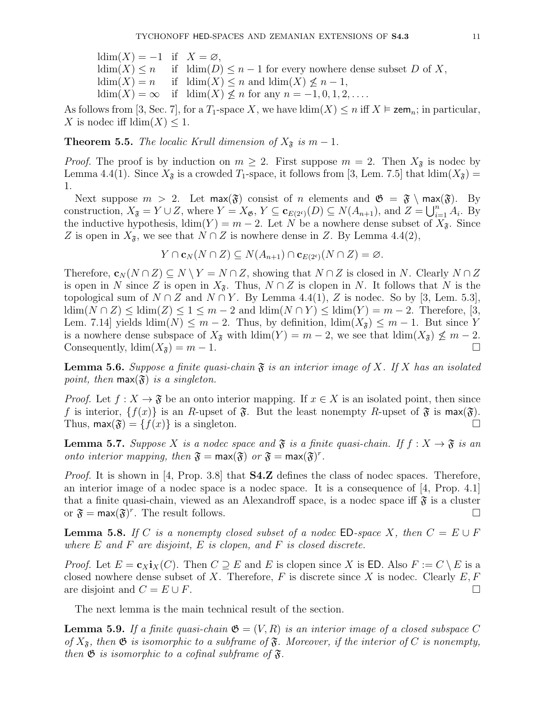$ldim(X) = -1$  if  $X = \emptyset$ ,  $\dim(X) \leq n$  if  $\dim(D) \leq n-1$  for every nowhere dense subset D of X,  $ldim(X) = n$  if  $ldim(X) \leq n$  and  $ldim(X) \leq n-1$ ,  $ldim(X) = \infty$  if  $ldim(X) \nless n$  for any  $n = -1, 0, 1, 2, \ldots$ .

As follows from [3, Sec. 7], for a  $T_1$ -space X, we have  $\dim(X) \leq n$  iff  $X \models \mathsf{zem}_n$ ; in particular, X is nodec iff  $ldim(X) \leq 1$ .

**Theorem 5.5.** The localic Krull dimension of  $X_{\tilde{\sigma}}$  is  $m-1$ .

*Proof.* The proof is by induction on  $m \geq 2$ . First suppose  $m = 2$ . Then  $X_{\mathfrak{F}}$  is nodec by Lemma 4.4(1). Since  $X_{\mathfrak{F}}$  is a crowded  $T_1$ -space, it follows from [3, Lem. 7.5] that  $\text{ldim}(X_{\mathfrak{F}})$  = 1.

Next suppose  $m > 2$ . Let  $\max(\mathfrak{F})$  consist of n elements and  $\mathfrak{G} = \mathfrak{F} \setminus \max(\mathfrak{F})$ . By construction,  $X_{\mathfrak{F}} = Y \cup Z$ , where  $Y = X_{\mathfrak{G}}, Y \subseteq \mathbf{c}_{E(2^c)}(D) \subseteq N(A_{n+1}),$  and  $Z = \bigcup_{i=1}^n A_i$ . By the inductive hypothesis,  $\dim(Y) = m - 2$ . Let N be a nowhere dense subset of  $X_{\mathfrak{F}}$ . Since Z is open in  $X_{\mathfrak{F}}$ , we see that  $N \cap Z$  is nowhere dense in Z. By Lemma 4.4(2),

$$
Y \cap \mathbf{c}_N(N \cap Z) \subseteq N(A_{n+1}) \cap \mathbf{c}_{E(2^c)}(N \cap Z) = \varnothing.
$$

Therefore,  $\mathbf{c}_N (N \cap Z) \subseteq N \setminus Y = N \cap Z$ , showing that  $N \cap Z$  is closed in N. Clearly  $N \cap Z$ is open in N since Z is open in  $X_{\mathfrak{F}}$ . Thus,  $N \cap Z$  is clopen in N. It follows that N is the topological sum of  $N \cap Z$  and  $N \cap Y$ . By Lemma 4.4(1), Z is nodec. So by [3, Lem. 5.3],  $\dim(N \cap Z) \leq \dim(Z) \leq 1 \leq m-2$  and  $\dim(N \cap Y) \leq \dim(Y) = m-2$ . Therefore, [3, Lem. 7.14] yields  $\dim(N) \leq m-2$ . Thus, by definition,  $\dim(X_{\tilde{\sigma}}) \leq m-1$ . But since Y is a nowhere dense subspace of  $X_{\mathfrak{F}}$  with  $\dim(Y) = m - 2$ , we see that  $\dim(X_{\mathfrak{F}}) \nleq m - 2$ . Consequently,  $\text{ldim}(X_{\mathfrak{F}}) = m - 1.$ 

**Lemma 5.6.** Suppose a finite quasi-chain  $\mathfrak{F}$  is an interior image of X. If X has an isolated point, then  $\max(\mathfrak{F})$  is a singleton.

*Proof.* Let  $f: X \to \mathfrak{F}$  be an onto interior mapping. If  $x \in X$  is an isolated point, then since f is interior,  $\{f(x)\}\$ is an R-upset of  $\mathfrak{F}$ . But the least nonempty R-upset of  $\mathfrak{F}$  is max $(\mathfrak{F})$ . Thus,  $\text{max}(\mathfrak{F}) = \{f(x)\}\$ is a singleton.

**Lemma 5.7.** Suppose X is a nodec space and  $\mathfrak{F}$  is a finite quasi-chain. If  $f : X \to \mathfrak{F}$  is an onto interior mapping, then  $\mathfrak{F} = \max(\mathfrak{F})$  or  $\mathfrak{F} = \max(\mathfrak{F})^r$ .

*Proof.* It is shown in [4, Prop. 3.8] that  $S4.Z$  defines the class of nodec spaces. Therefore, an interior image of a nodec space is a nodec space. It is a consequence of [4, Prop. 4.1] that a finite quasi-chain, viewed as an Alexandroff space, is a nodec space iff  $\mathfrak{F}$  is a cluster or  $\mathfrak{F} = \max(\mathfrak{F})^r$ . The result follows.

**Lemma 5.8.** If C is a nonempty closed subset of a nodec ED-space X, then  $C = E \cup F$ where  $E$  and  $F$  are disjoint,  $E$  is clopen, and  $F$  is closed discrete.

*Proof.* Let  $E = c_X \mathbf{i}_X(C)$ . Then  $C \supseteq E$  and E is clopen since X is ED. Also  $F := C \setminus E$  is a closed nowhere dense subset of X. Therefore, F is discrete since X is nodec. Clearly  $E, F$ are disjoint and  $C = E \cup F$ .

The next lemma is the main technical result of the section.

**Lemma 5.9.** If a finite quasi-chain  $\mathfrak{G} = (V, R)$  is an interior image of a closed subspace C of  $X_{\mathfrak{F}}$ , then  $\mathfrak{G}$  is isomorphic to a subframe of  $\mathfrak{F}$ . Moreover, if the interior of C is nonempty, then  $\mathfrak G$  is isomorphic to a cofinal subframe of  $\mathfrak F$ .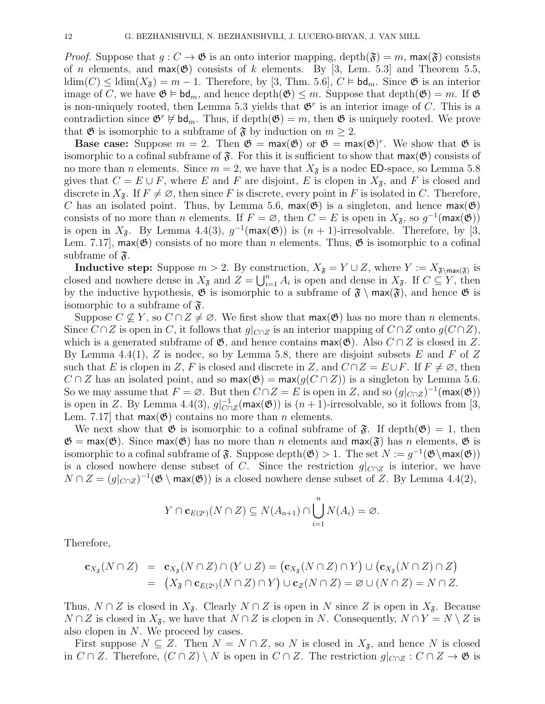*Proof.* Suppose that  $g: C \to \mathfrak{G}$  is an onto interior mapping, depth $(\mathfrak{F}) = m$ , max $(\mathfrak{F})$  consists of *n* elements, and  $max(\mathfrak{G})$  consists of *k* elements. By [3, Lem. 5.3] and Theorem 5.5,  $\dim(C) \leq \dim(X_{\mathfrak{F}}) = m - 1$ . Therefore, by [3, Thm. 5.6],  $C \models \mathsf{bd}_m$ . Since  $\mathfrak{G}$  is an interior image of C, we have  $\mathfrak{G} \models \mathsf{bd}_m$ , and hence depth $(\mathfrak{G}) \leq m$ . Suppose that depth $(\mathfrak{G}) = m$ . If  $\mathfrak{G}$ is non-uniquely rooted, then Lemma 5.3 yields that  $\mathfrak{G}^r$  is an interior image of C. This is a contradiction since  $\mathfrak{G}^r \not\models \mathsf{bd}_m$ . Thus, if depth $(\mathfrak{G}) = m$ , then  $\mathfrak{G}$  is uniquely rooted. We prove that  $\mathfrak G$  is isomorphic to a subframe of  $\mathfrak F$  by induction on  $m \geq 2$ .

**Base case:** Suppose  $m = 2$ . Then  $\mathfrak{G} = \max(\mathfrak{G})$  or  $\mathfrak{G} = \max(\mathfrak{G})^r$ . We show that  $\mathfrak{G}$  is isomorphic to a cofinal subframe of  $\mathfrak{F}$ . For this it is sufficient to show that  $\max(\mathfrak{G})$  consists of no more than *n* elements. Since  $m = 2$ , we have that  $X_{\mathfrak{F}}$  is a nodec ED-space, so Lemma 5.8 gives that  $C = E \cup F$ , where E and F are disjoint, E is clopen in  $X_{\tilde{\sigma}}$ , and F is closed and discrete in  $X_{\mathfrak{F}}$ . If  $F \neq \emptyset$ , then since F is discrete, every point in F is isolated in C. Therefore, C has an isolated point. Thus, by Lemma 5.6,  $max(\mathfrak{G})$  is a singleton, and hence  $max(\mathfrak{G})$ consists of no more than n elements. If  $F = \emptyset$ , then  $C = E$  is open in  $X_{\mathfrak{F}}$ , so  $g^{-1}(\max(\mathfrak{G}))$ is open in  $X_{\mathfrak{F}}$ . By Lemma 4.4(3),  $g^{-1}(\max(\mathfrak{G}))$  is  $(n + 1)$ -irresolvable. Therefore, by [3, Lem. 7.17], max( $\mathfrak{G}$ ) consists of no more than *n* elements. Thus,  $\mathfrak{G}$  is isomorphic to a cofinal subframe of  $\mathfrak{F}$ .

**Inductive step:** Suppose  $m > 2$ . By construction,  $X_{\tilde{\sigma}} = Y \cup Z$ , where  $Y := X_{\tilde{\sigma}}_{\text{max}(\tilde{\sigma})}$  is closed and nowhere dense in  $X_{\mathfrak{F}}$  and  $Z = \bigcup_{i=1}^n A_i$  is open and dense in  $X_{\mathfrak{F}}$ . If  $C \subseteq Y$ , then by the inductive hypothesis,  $\mathfrak{G}$  is isomorphic to a subframe of  $\mathfrak{F} \setminus \max(\mathfrak{F})$ , and hence  $\mathfrak{G}$  is isomorphic to a subframe of  $\mathfrak{F}$ .

Suppose  $C \not\subseteq Y$ , so  $C \cap Z \neq \emptyset$ . We first show that  $\max(\mathfrak{G})$  has no more than *n* elements. Since  $C \cap Z$  is open in C, it follows that  $g|_{C \cap Z}$  is an interior mapping of  $C \cap Z$  onto  $g(C \cap Z)$ , which is a generated subframe of  $\mathfrak{G}$ , and hence contains  $\max(\mathfrak{G})$ . Also  $C \cap Z$  is closed in Z. By Lemma 4.4(1), Z is nodec, so by Lemma 5.8, there are disjoint subsets E and F of Z such that E is clopen in Z, F is closed and discrete in Z, and  $C \cap Z = E \cup F$ . If  $F \neq \emptyset$ , then  $C \cap Z$  has an isolated point, and so  $\textsf{max}(\mathfrak{G}) = \textsf{max}(g(C \cap Z))$  is a singleton by Lemma 5.6. So we may assume that  $F = \emptyset$ . But then  $C \cap Z = E$  is open in Z, and so  $(g|_{C \cap Z})^{-1}$  (max( $\mathfrak{G}$ )) is open in Z. By Lemma 4.4(3),  $g|_{C}^{-1}$  $C_{C \cap Z}^{-1}(\max(\mathfrak{G}))$  is  $(n+1)$ -irresolvable, so it follows from [3, Lem. 7.17 that  $max(\mathfrak{G})$  contains no more than *n* elements.

We next show that  $\mathfrak{G}$  is isomorphic to a cofinal subframe of  $\mathfrak{F}$ . If depth $(\mathfrak{G}) = 1$ , then  $\mathfrak{G} = \max(\mathfrak{G})$ . Since  $\max(\mathfrak{G})$  has no more than n elements and  $\max(\mathfrak{F})$  has n elements,  $\mathfrak{G}$  is isomorphic to a cofinal subframe of  $\mathfrak{F}$ . Suppose depth $(\mathfrak{G}) > 1$ . The set  $N := g^{-1}(\mathfrak{G} \setminus \max(\mathfrak{G}))$ is a closed nowhere dense subset of C. Since the restriction  $g|_{C\cap Z}$  is interior, we have  $N \cap Z = (g|_{C \cap Z})^{-1}(\mathfrak{G} \setminus \text{max}(\mathfrak{G}))$  is a closed nowhere dense subset of Z. By Lemma 4.4(2),

$$
Y \cap \mathbf{c}_{E(2^c)}(N \cap Z) \subseteq N(A_{n+1}) \cap \bigcup_{i=1}^n N(A_i) = \varnothing.
$$

Therefore,

$$
\mathbf{c}_{X_{\mathfrak{F}}}(N \cap Z) = \mathbf{c}_{X_{\mathfrak{F}}}(N \cap Z) \cap (Y \cup Z) = (\mathbf{c}_{X_{\mathfrak{F}}}(N \cap Z) \cap Y) \cup (\mathbf{c}_{X_{\mathfrak{F}}}(N \cap Z) \cap Z)
$$
  
= 
$$
(X_{\mathfrak{F}} \cap \mathbf{c}_{E(2^c)}(N \cap Z) \cap Y) \cup \mathbf{c}_Z(N \cap Z) = \varnothing \cup (N \cap Z) = N \cap Z.
$$

Thus,  $N \cap Z$  is closed in  $X_{\mathfrak{F}}$ . Clearly  $N \cap Z$  is open in N since Z is open in  $X_{\mathfrak{F}}$ . Because  $N \cap Z$  is closed in  $X_{\mathfrak{F}}$ , we have that  $N \cap Z$  is clopen in N. Consequently,  $N \cap Y = N \setminus Z$  is also clopen in N. We proceed by cases.

First suppose  $N \subseteq Z$ . Then  $N = N \cap Z$ , so N is closed in  $X_{\mathfrak{F}}$ , and hence N is closed in  $C \cap Z$ . Therefore,  $(C \cap Z) \setminus N$  is open in  $C \cap Z$ . The restriction  $g|_{C \cap Z} : C \cap Z \to \mathfrak{G}$  is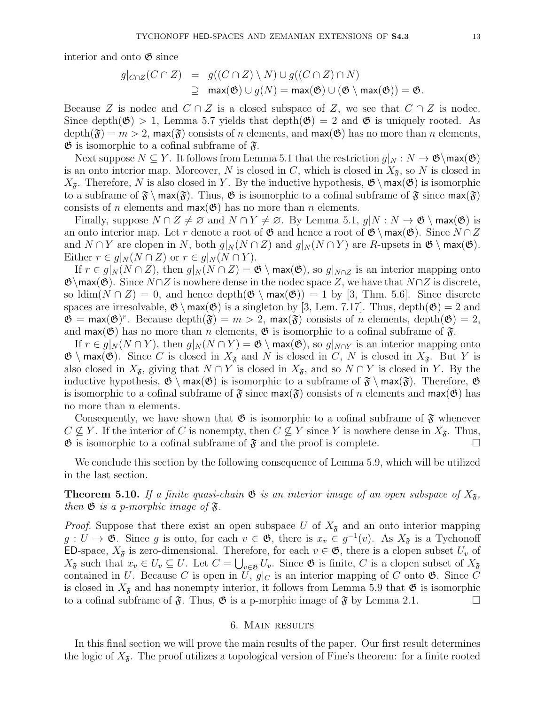interior and onto  $\mathfrak{G}$  since

$$
g|_{C \cap Z}(C \cap Z) = g((C \cap Z) \setminus N) \cup g((C \cap Z) \cap N)
$$
  
 
$$
\supseteq \max(\mathfrak{G}) \cup g(N) = \max(\mathfrak{G}) \cup (\mathfrak{G} \setminus \max(\mathfrak{G})) = \mathfrak{G}.
$$

Because Z is nodec and  $C \cap Z$  is a closed subspace of Z, we see that  $C \cap Z$  is nodec. Since depth( $\mathfrak{G}$ ) > 1, Lemma 5.7 yields that depth( $\mathfrak{G}$ ) = 2 and  $\mathfrak{G}$  is uniquely rooted. As  $depth(\mathfrak{F}) = m > 2$ , max $(\mathfrak{F})$  consists of n elements, and max $(\mathfrak{G})$  has no more than n elements,  $\mathfrak{G}$  is isomorphic to a cofinal subframe of  $\mathfrak{F}$ .

Next suppose  $N \subseteq Y$ . It follows from Lemma 5.1 that the restriction  $g|_N : N \to \mathfrak{G} \backslash \mathfrak{max}(\mathfrak{G})$ is an onto interior map. Moreover, N is closed in C, which is closed in  $X_{\mathfrak{F}}$ , so N is closed in  $X_{\tilde{\sigma}}$ . Therefore, N is also closed in Y. By the inductive hypothesis,  $\mathfrak{G} \setminus \max(\mathfrak{G})$  is isomorphic to a subframe of  $\mathfrak{F} \setminus \max(\mathfrak{F})$ . Thus,  $\mathfrak{G}$  is isomorphic to a cofinal subframe of  $\mathfrak{F}$  since  $\max(\mathfrak{F})$ consists of *n* elements and  $max(\mathfrak{G})$  has no more than *n* elements.

Finally, suppose  $N \cap Z \neq \emptyset$  and  $N \cap Y \neq \emptyset$ . By Lemma 5.1,  $g|N : N \to \mathfrak{G} \setminus \text{max}(\mathfrak{G})$  is an onto interior map. Let r denote a root of  $\mathfrak{G}$  and hence a root of  $\mathfrak{G}\setminus \max(\mathfrak{G})$ . Since  $N \cap Z$ and  $N \cap Y$  are clopen in N, both  $g|_N(N \cap Z)$  and  $g|_N(N \cap Y)$  are R-upsets in  $\mathfrak{G} \setminus \text{max}(\mathfrak{G})$ . Either  $r \in g|_N(N \cap Z)$  or  $r \in g|_N(N \cap Y)$ .

If  $r \in g|_N(N \cap Z)$ , then  $g|_N(N \cap Z) = \mathfrak{G} \setminus \max(\mathfrak{G})$ , so  $g|_{N \cap Z}$  is an interior mapping onto  $\mathfrak{G}\backslash max(\mathfrak{G})$ . Since  $N\cap Z$  is nowhere dense in the nodec space Z, we have that  $N\cap Z$  is discrete, so  $\dim(N \cap Z) = 0$ , and hence  $\operatorname{depth}(\mathfrak{G} \setminus \max(\mathfrak{G})) = 1$  by [3, Thm. 5.6]. Since discrete spaces are irresolvable,  $\mathfrak{G} \setminus \max(\mathfrak{G})$  is a singleton by [3, Lem. 7.17]. Thus, depth $(\mathfrak{G}) = 2$  and  $\mathfrak{G} = \max(\mathfrak{G})^r$ . Because depth $(\mathfrak{F}) = m > 2$ ,  $\max(\mathfrak{F})$  consists of n elements, depth $(\mathfrak{G}) = 2$ , and  $max(\mathfrak{G})$  has no more than *n* elements,  $\mathfrak{G}$  is isomorphic to a cofinal subframe of  $\mathfrak{F}$ .

If  $r \in g|_N(N \cap Y)$ , then  $g|_N(N \cap Y) = \mathfrak{G} \setminus \max(\mathfrak{G})$ , so  $g|_{N \cap Y}$  is an interior mapping onto  $\mathfrak{G} \setminus \max(\mathfrak{G})$ . Since C is closed in  $X_{\mathfrak{F}}$  and N is closed in C, N is closed in  $X_{\mathfrak{F}}$ . But Y is also closed in  $X_{\mathfrak{F}}$ , giving that  $N \cap Y$  is closed in  $X_{\mathfrak{F}}$ , and so  $N \cap Y$  is closed in Y. By the inductive hypothesis,  $\mathfrak{G} \setminus \max(\mathfrak{G})$  is isomorphic to a subframe of  $\mathfrak{F} \setminus \max(\mathfrak{F})$ . Therefore,  $\mathfrak{G}$ is isomorphic to a cofinal subframe of  $\mathfrak F$  since  $\max(\mathfrak F)$  consists of n elements and  $\max(\mathfrak G)$  has no more than  $n$  elements.

Consequently, we have shown that  $\mathfrak G$  is isomorphic to a cofinal subframe of  $\mathfrak F$  whenever  $C \nsubseteq Y$ . If the interior of C is nonempty, then  $C \nsubseteq Y$  since Y is nowhere dense in  $X_{\mathfrak{F}}$ . Thus,  $\mathfrak{G}$  is isomorphic to a cofinal subframe of  $\mathfrak{F}$  and the proof is complete.

We conclude this section by the following consequence of Lemma 5.9, which will be utilized in the last section.

**Theorem 5.10.** If a finite quasi-chain  $\mathfrak{G}$  is an interior image of an open subspace of  $X_{\mathfrak{F}}$ , then  $\mathfrak{G}$  is a p-morphic image of  $\mathfrak{F}$ .

*Proof.* Suppose that there exist an open subspace U of  $X_{\tilde{\sigma}}$  and an onto interior mapping  $g: U \to \mathfrak{G}$ . Since g is onto, for each  $v \in \mathfrak{G}$ , there is  $x_v \in g^{-1}(v)$ . As  $X_{\mathfrak{F}}$  is a Tychonoff ED-space,  $X_{\mathfrak{F}}$  is zero-dimensional. Therefore, for each  $v \in \mathfrak{G}$ , there is a clopen subset  $U_v$  of  $X_{\mathfrak{F}}$  such that  $x_v \in U_v \subseteq U$ . Let  $C = \bigcup_{v \in \mathfrak{G}} U_v$ . Since  $\mathfrak{G}$  is finite, C is a clopen subset of  $X_{\mathfrak{F}}$ contained in U. Because C is open in U,  $g|_C$  is an interior mapping of C onto  $\mathfrak{G}$ . Since C is closed in  $X_{\mathfrak{F}}$  and has nonempty interior, it follows from Lemma 5.9 that  $\mathfrak{G}$  is isomorphic to a cofinal subframe of  $\mathfrak{F}$ . Thus,  $\mathfrak{G}$  is a p-morphic image of  $\mathfrak{F}$  by Lemma 2.1.

## 6. Main results

In this final section we will prove the main results of the paper. Our first result determines the logic of  $X_{\mathfrak{F}}$ . The proof utilizes a topological version of Fine's theorem: for a finite rooted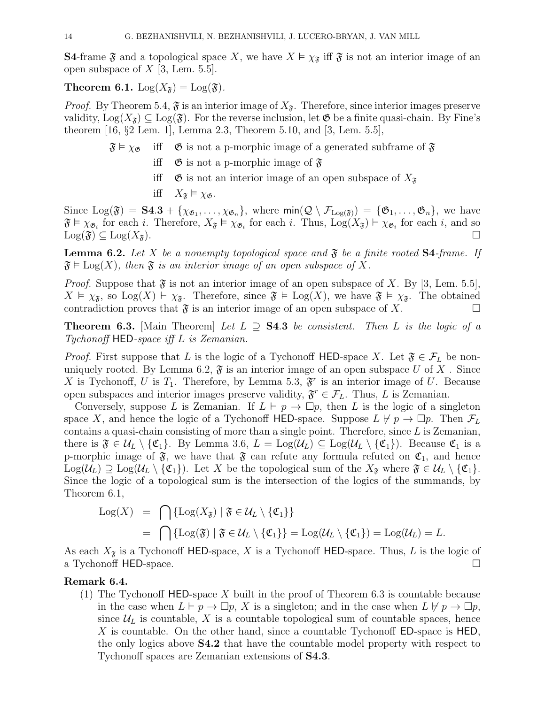**S4-frame**  $\mathfrak{F}$  and a topological space X, we have  $X \models \chi_{\mathfrak{F}}$  iff  $\mathfrak{F}$  is not an interior image of an open subspace of  $X$  [3, Lem. 5.5].

**Theorem 6.1.** Log( $X_{\tilde{\sigma}}$ ) = Log( $\tilde{\sigma}$ ).

*Proof.* By Theorem 5.4,  $\mathfrak{F}$  is an interior image of  $X_{\mathfrak{F}}$ . Therefore, since interior images preserve validity,  $Log(X_{\tilde{\mathcal{S}}}) \subseteq Log(\tilde{\mathcal{S}})$ . For the reverse inclusion, let  $\mathfrak{G}$  be a finite quasi-chain. By Fine's theorem [16, §2 Lem. 1], Lemma 2.3, Theorem 5.10, and [3, Lem. 5.5],

- $\mathfrak{F} \models \chi_{\mathfrak{G}}$  if  $\mathfrak{G}$  is not a p-morphic image of a generated subframe of  $\mathfrak{F}$ 
	- iff  $\mathfrak G$  is not a p-morphic image of  $\mathfrak F$
	- iff  $\mathfrak G$  is not an interior image of an open subspace of  $X_{\mathfrak F}$
	- iff  $X_{\tilde{\sigma}} \vDash \chi_{\mathfrak{G}}$ .

Since  $Log(\mathfrak{F}) = S4.3 + {\chi_{\mathfrak{G}_1}, \ldots, \chi_{\mathfrak{G}_n}}$ , where  $\min(Q \setminus \mathcal{F}_{Log(\mathfrak{F})}) = {\mathfrak{G}_1, \ldots, \mathfrak{G}_n}$ , we have  $\mathfrak{F} \models \chi_{\mathfrak{G}_i}$  for each i. Therefore,  $X_{\mathfrak{F}} \models \chi_{\mathfrak{G}_i}$  for each i. Thus,  $\text{Log}(X_{\mathfrak{F}}) \models \chi_{\mathfrak{G}_i}$  for each i, and so  $\text{Log}(\mathfrak{F}) \subseteq \text{Log}(X_{\mathfrak{F}}).$ 

**Lemma 6.2.** Let X be a nonempty topological space and  $\mathfrak{F}$  be a finite rooted **S4**-frame. If  $\mathfrak{F} \models \text{Log}(X)$ , then  $\mathfrak{F}$  is an interior image of an open subspace of X.

*Proof.* Suppose that  $\mathfrak{F}$  is not an interior image of an open subspace of X. By [3, Lem. 5.5],  $X \vDash \chi_{\mathfrak{F}}$ , so  $\text{Log}(X) \vdash \chi_{\mathfrak{F}}$ . Therefore, since  $\mathfrak{F} \vDash \text{Log}(X)$ , we have  $\mathfrak{F} \vDash \chi_{\mathfrak{F}}$ . The obtained contradiction proves that  $\mathfrak F$  is an interior image of an open subspace of X.

**Theorem 6.3.** [Main Theorem] Let  $L \supseteq S4.3$  be consistent. Then L is the logic of a Tychonoff HED-space iff L is Zemanian.

*Proof.* First suppose that L is the logic of a Tychonoff HED-space X. Let  $\mathfrak{F} \in \mathcal{F}_L$  be nonuniquely rooted. By Lemma 6.2,  $\mathfrak{F}$  is an interior image of an open subspace U of X. Since X is Tychonoff, U is  $T_1$ . Therefore, by Lemma 5.3,  $\mathfrak{F}^r$  is an interior image of U. Because open subspaces and interior images preserve validity,  $\mathfrak{F}^r \in \mathcal{F}_L$ . Thus, L is Zemanian.

Conversely, suppose L is Zemanian. If  $L \vdash p \rightarrow \Box p$ , then L is the logic of a singleton space X, and hence the logic of a Tychonoff HED-space. Suppose  $L \not\models p \rightarrow \Box p$ . Then  $\mathcal{F}_L$ contains a quasi-chain consisting of more than a single point. Therefore, since  $L$  is Zemanian, there is  $\mathfrak{F} \in \mathcal{U}_L \setminus \{\mathfrak{C}_1\}$ . By Lemma 3.6,  $L = \text{Log}(\mathcal{U}_L) \subseteq \text{Log}(\mathcal{U}_L \setminus \{\mathfrak{C}_1\})$ . Because  $\mathfrak{C}_1$  is a p-morphic image of  $\mathfrak{F}$ , we have that  $\mathfrak{F}$  can refute any formula refuted on  $\mathfrak{C}_1$ , and hence  $\text{Log}(\mathcal{U}_L) \supseteq \text{Log}(\mathcal{U}_L \setminus \{\mathfrak{C}_1\}).$  Let X be the topological sum of the  $X_{\mathfrak{F}}$  where  $\mathfrak{F} \in \mathcal{U}_L \setminus \{\mathfrak{C}_1\}.$ Since the logic of a topological sum is the intersection of the logics of the summands, by Theorem 6.1,

$$
Log(X) = \bigcap \{Log(X_{\mathfrak{F}}) | \mathfrak{F} \in \mathcal{U}_L \setminus \{\mathfrak{C}_1\} \}
$$
  
= 
$$
\bigcap \{Log(\mathfrak{F}) | \mathfrak{F} \in \mathcal{U}_L \setminus \{\mathfrak{C}_1\} \} = Log(\mathcal{U}_L \setminus \{\mathfrak{C}_1\}) = Log(\mathcal{U}_L) = L.
$$

As each  $X_{\mathfrak{F}}$  is a Tychonoff HED-space, X is a Tychonoff HED-space. Thus, L is the logic of a Tychonoff HED-space.

## Remark 6.4.

(1) The Tychonoff HED-space X built in the proof of Theorem 6.3 is countable because in the case when  $L \vdash p \to \Box p$ , X is a singleton; and in the case when  $L \not\models p \to \Box p$ , since  $\mathcal{U}_L$  is countable, X is a countable topological sum of countable spaces, hence X is countable. On the other hand, since a countable Tychonoff ED-space is HED, the only logics above S4.2 that have the countable model property with respect to Tychonoff spaces are Zemanian extensions of S4.3.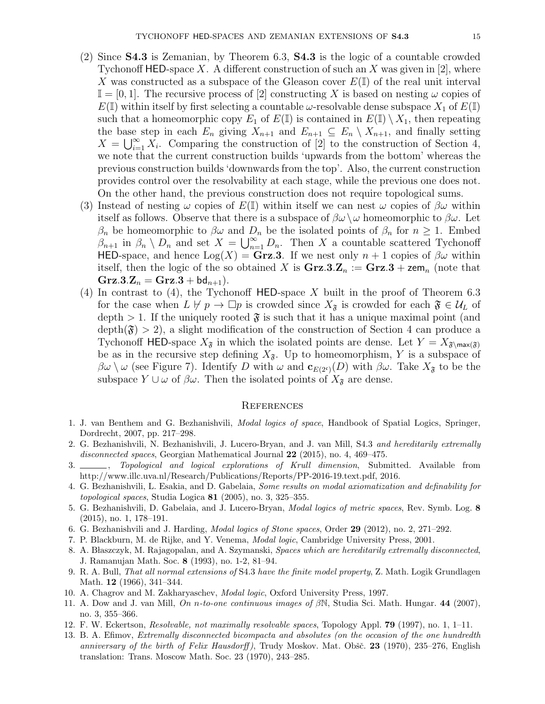- (2) Since S4.3 is Zemanian, by Theorem 6.3, S4.3 is the logic of a countable crowded Tychonoff HED-space X. A different construction of such an X was given in [2], where X was constructed as a subspace of the Gleason cover  $E(\mathbb{I})$  of the real unit interval  $\mathbb{I} = [0, 1]$ . The recursive process of [2] constructing X is based on nesting  $\omega$  copies of  $E(\mathbb{I})$  within itself by first selecting a countable  $\omega$ -resolvable dense subspace  $X_1$  of  $E(\mathbb{I})$ such that a homeomorphic copy  $E_1$  of  $E(\mathbb{I})$  is contained in  $E(\mathbb{I}) \setminus X_1$ , then repeating the base step in each  $E_n$  giving  $X_{n+1}$  and  $E_{n+1} \subseteq E_n \setminus X_{n+1}$ , and finally setting  $X = \bigcup_{i=1}^{\infty} X_i$ . Comparing the construction of [2] to the construction of Section 4, we note that the current construction builds 'upwards from the bottom' whereas the previous construction builds 'downwards from the top'. Also, the current construction provides control over the resolvability at each stage, while the previous one does not. On the other hand, the previous construction does not require topological sums.
- (3) Instead of nesting  $\omega$  copies of  $E(\mathbb{I})$  within itself we can nest  $\omega$  copies of  $\beta\omega$  within itself as follows. Observe that there is a subspace of  $\beta\omega\setminus\omega$  homeomorphic to  $\beta\omega$ . Let  $\beta_n$  be homeomorphic to  $\beta\omega$  and  $D_n$  be the isolated points of  $\beta_n$  for  $n \geq 1$ . Embed  $\beta_{n+1}$  in  $\beta_n \setminus D_n$  and set  $X = \bigcup_{n=1}^{\infty} D_n$ . Then X a countable scattered Tychonoff HED-space, and hence  $Log(X) = \mathbf{Grz}.3$ . If we nest only  $n + 1$  copies of  $\beta\omega$  within itself, then the logic of the so obtained X is  $\mathbf{Grz}.3.\mathbf{Z}_n := \mathbf{Grz}.3 + \mathbf{zem}_n$  (note that  $Grz.3.Z_n = Grz.3 + bd_{n+1}$ .
- (4) In contrast to (4), the Tychonoff  $HED$ -space X built in the proof of Theorem 6.3 for the case when  $L \not\vdash p \rightarrow \Box p$  is crowded since  $X_{\mathfrak{F}}$  is crowded for each  $\mathfrak{F} \in \mathcal{U}_L$  of depth  $> 1$ . If the uniquely rooted  $\mathfrak{F}$  is such that it has a unique maximal point (and  $depth(\mathfrak{F}) > 2$ , a slight modification of the construction of Section 4 can produce a Tychonoff HED-space  $X_{\mathfrak{F}}$  in which the isolated points are dense. Let  $Y = X_{\mathfrak{F}\backslash \max(\mathfrak{F})}$ be as in the recursive step defining  $X_{\tilde{\sigma}}$ . Up to homeomorphism, Y is a subspace of  $\beta\omega \setminus \omega$  (see Figure 7). Identify D with  $\omega$  and  $\mathbf{c}_{E(2^c)}(D)$  with  $\beta\omega$ . Take  $X_{\mathfrak{F}}$  to be the subspace  $Y \cup \omega$  of  $\beta \omega$ . Then the isolated points of  $X_{\mathfrak{F}}$  are dense.

## **REFERENCES**

- 1. J. van Benthem and G. Bezhanishvili, Modal logics of space, Handbook of Spatial Logics, Springer, Dordrecht, 2007, pp. 217–298.
- 2. G. Bezhanishvili, N. Bezhanishvili, J. Lucero-Bryan, and J. van Mill, S4.3 and hereditarily extremally disconnected spaces, Georgian Mathematical Journal 22 (2015), no. 4, 469–475.
- 3. Topological and logical explorations of Krull dimension, Submitted. Available from http://www.illc.uva.nl/Research/Publications/Reports/PP-2016-19.text.pdf, 2016.
- 4. G. Bezhanishvili, L. Esakia, and D. Gabelaia, Some results on modal axiomatization and definability for topological spaces, Studia Logica 81 (2005), no. 3, 325–355.
- 5. G. Bezhanishvili, D. Gabelaia, and J. Lucero-Bryan, Modal logics of metric spaces, Rev. Symb. Log. 8 (2015), no. 1, 178–191.
- 6. G. Bezhanishvili and J. Harding, Modal logics of Stone spaces, Order 29 (2012), no. 2, 271–292.
- 7. P. Blackburn, M. de Rijke, and Y. Venema, Modal logic, Cambridge University Press, 2001.
- 8. A. Błaszczyk, M. Rajagopalan, and A. Szymanski, Spaces which are hereditarily extremally disconnected, J. Ramanujan Math. Soc. 8 (1993), no. 1-2, 81–94.
- 9. R. A. Bull, That all normal extensions of S4.3 have the finite model property, Z. Math. Logik Grundlagen Math. 12 (1966), 341–344.
- 10. A. Chagrov and M. Zakharyaschev, Modal logic, Oxford University Press, 1997.
- 11. A. Dow and J. van Mill, On n-to-one continuous images of  $\beta N$ , Studia Sci. Math. Hungar. 44 (2007), no. 3, 355–366.
- 12. F. W. Eckertson, Resolvable, not maximally resolvable spaces, Topology Appl. 79 (1997), no. 1, 1–11.
- 13. B. A. Efimov, Extremally disconnected bicompacta and absolutes (on the occasion of the one hundredth anniversary of the birth of Felix Hausdorff), Trudy Moskov. Mat. Obšč.  $23$  (1970),  $235-276$ , English translation: Trans. Moscow Math. Soc. 23 (1970), 243–285.